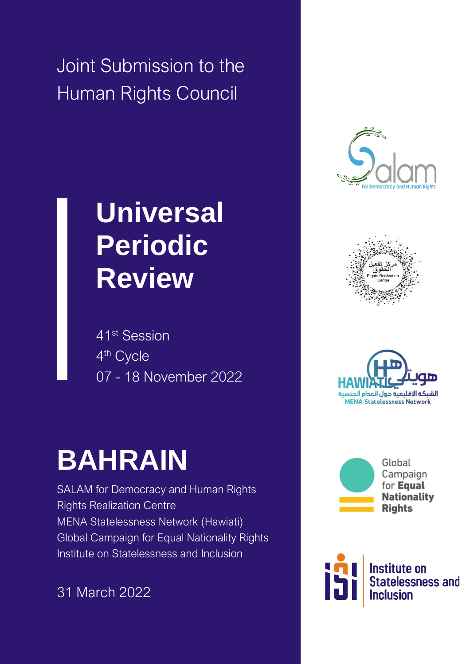Joint Submission to the Human Rights Council

# **Universal Periodic Review**

41st Session 4<sup>th</sup> Cycle 07 - 18 November 2022

# **BAHRAIN**

SALAM for Democracy and Human Rights Rights Realization Centre MENA Statelessness Network (Hawiati) Global Campaign for Equal Nationality Rights Institute on Statelessness and Inclusion

31 March 2022









Global Campaign for **Equal Nationality Rights** 

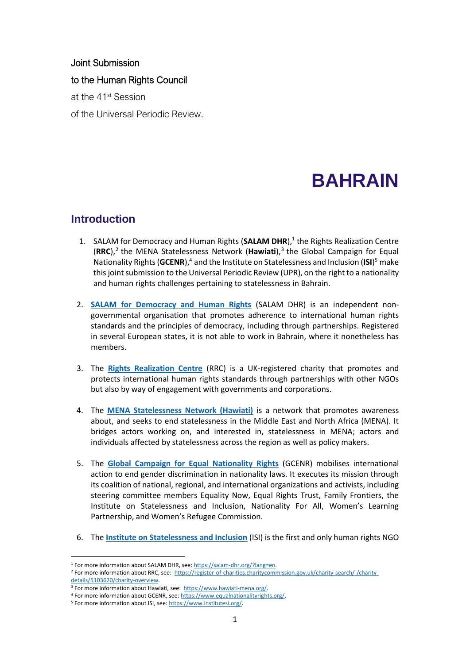### Joint Submission

#### to the Human Rights Council

at the 41st Session

of the Universal Periodic Review.

# **BAHRAIN**

## **Introduction**

- 1. SALAM for Democracy and Human Rights (SALAM DHR),<sup>1</sup> the Rights Realization Centre (RRC),<sup>2</sup> the MENA Statelessness Network (Hawiati),<sup>3</sup> the Global Campaign for Equal Nationality Rights (GCENR),<sup>4</sup> and the Institute on Statelessness and Inclusion (ISI)<sup>5</sup> make this joint submission to the Universal Periodic Review (UPR), on the right to a nationality and human rights challenges pertaining to statelessness in Bahrain.
- 2. **[SALAM for Democracy and Human Rights](https://salam-dhr.org/?lang=en)** (SALAM DHR) is an independent nongovernmental organisation that promotes adherence to international human rights standards and the principles of democracy, including through partnerships. Registered in several European states, it is not able to work in Bahrain, where it nonetheless has members.
- 3. The **[Rights Realization Centre](https://register-of-charities.charitycommission.gov.uk/charity-search/-/charity-details/5103620/charity-overview)** (RRC) is a UK-registered charity that promotes and protects international human rights standards through partnerships with other NGOs but also by way of engagement with governments and corporations.
- 4. The **[MENA Statelessness Network \(Hawiati\)](https://www.hawiati-mena.org/)** is a network that promotes awareness about, and seeks to end statelessness in the Middle East and North Africa (MENA). It bridges actors working on, and interested in, statelessness in MENA; actors and individuals affected by statelessness across the region as well as policy makers.
- 5. The **[Global Campaign for Equal Nationality Rights](https://www.equalnationalityrights.org/)** (GCENR) mobilises international action to end gender discrimination in nationality laws. It executes its mission through its coalition of national, regional, and international organizations and activists, including steering committee members Equality Now, Equal Rights Trust, Family Frontiers, the Institute on Statelessness and Inclusion, Nationality For All, Women's Learning Partnership, and Women's Refugee Commission.
- 6. The **[Institute on Statelessness and Inclusion](https://www.institutesi.org/)** (ISI) is the first and only human rights NGO

<sup>&</sup>lt;sup>1</sup> For more information about SALAM DHR, see: https://salam-dhr.org/?lang=en.

<sup>&</sup>lt;sup>2</sup> For more information about RRC, see: [https://register-of-charities.charitycommission.gov.uk/charity-search/-/charity](https://register-of-charities.charitycommission.gov.uk/charity-search/-/charity-details/5103620/charity-overview)[details/5103620/charity-overview.](https://register-of-charities.charitycommission.gov.uk/charity-search/-/charity-details/5103620/charity-overview)

<sup>&</sup>lt;sup>3</sup> For more information about Hawiati, see: [https://www.hawiati-mena.org/.](https://www.hawiati-mena.org/)

<sup>4</sup> For more information about GCENR, see[: https://www.equalnationalityrights.org/.](https://www.equalnationalityrights.org/) 

<sup>&</sup>lt;sup>5</sup> For more information about ISI, see: https://www.institutesi.org/.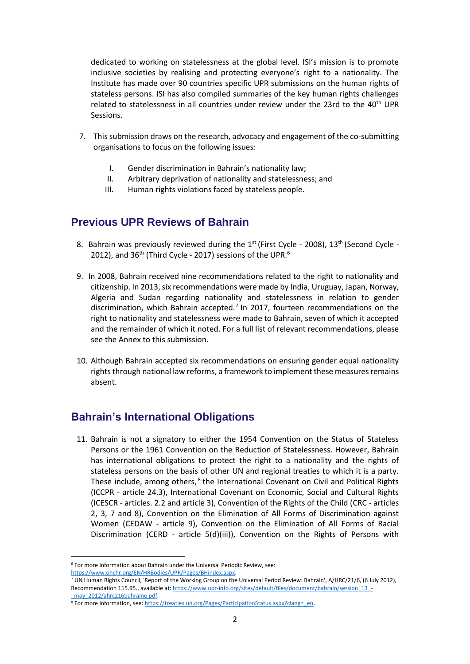dedicated to working on statelessness at the global level. ISI's mission is to promote inclusive societies by realising and protecting everyone's right to a nationality. The Institute has made over 90 countries specific UPR submissions on the human rights of stateless persons. ISI has also compiled summaries of the key human rights challenges related to statelessness in all countries under review under the 23rd to the 40<sup>th</sup> UPR Sessions.

- 7. This submission draws on the research, advocacy and engagement of the co-submitting organisations to focus on the following issues:
	- I. Gender discrimination in Bahrain's nationality law;
	- II. Arbitrary deprivation of nationality and statelessness; and
	- III. Human rights violations faced by stateless people.

# **Previous UPR Reviews of Bahrain**

- 8. Bahrain was previously reviewed during the  $1<sup>st</sup>$  (First Cycle 2008),  $13<sup>th</sup>$  (Second Cycle -2012), and  $36<sup>th</sup>$  (Third Cycle - 2017) sessions of the UPR. $<sup>6</sup>$ </sup>
- 9. In 2008, Bahrain received nine recommendations related to the right to nationality and citizenship. In 2013, six recommendations were made by India, Uruguay, Japan, Norway, Algeria and Sudan regarding nationality and statelessness in relation to gender discrimination, which Bahrain accepted.<sup>7</sup> In 2017, fourteen recommendations on the right to nationality and statelessness were made to Bahrain, seven of which it accepted and the remainder of which it noted. For a full list of relevant recommendations, please see the Annex to this submission.
- 10. Although Bahrain accepted six recommendations on ensuring gender equal nationality rights through national law reforms, a framework to implement these measures remains absent.

# **Bahrain's International Obligations**

11. Bahrain is not a signatory to either the 1954 Convention on the Status of Stateless Persons or the 1961 Convention on the Reduction of Statelessness. However, Bahrain has international obligations to protect the right to a nationality and the rights of stateless persons on the basis of other UN and regional treaties to which it is a party. These include, among others, <sup>8</sup> the International Covenant on Civil and Political Rights (ICCPR - article 24.3), International Covenant on Economic, Social and Cultural Rights (ICESCR - articles. 2.2 and article 3), Convention of the Rights of the Child (CRC - articles 2, 3, 7 and 8), Convention on the Elimination of All Forms of Discrimination against Women (CEDAW - article 9), Convention on the Elimination of All Forms of Racial Discrimination (CERD - article 5(d)(iii)), Convention on the Rights of Persons with

 $6$  For more information about Bahrain under the Universal Periodic Review, see: [https://www.ohchr.org/EN/HRBodies/UPR/Pages/BHindex.aspx.](https://www.ohchr.org/EN/HRBodies/UPR/Pages/BHindex.aspx) 

<sup>7</sup> UN Human Rights Council, 'Report of the Working Group on the Universal Period Review: Bahrain', A/HRC/21/6, (6 July 2012), Recommendation 115.95., available at[: https://www.upr-info.org/sites/default/files/document/bahrain/session\\_13\\_](https://www.upr-info.org/sites/default/files/document/bahrain/session_13_-_may_2012/ahrc216bahraine.pdf) may\_2012/ahrc216bahraine.pdf.

<sup>8</sup> For more information, see[: https://treaties.un.org/Pages/ParticipationStatus.aspx?clang=\\_en.](https://treaties.un.org/Pages/ParticipationStatus.aspx?clang=_en)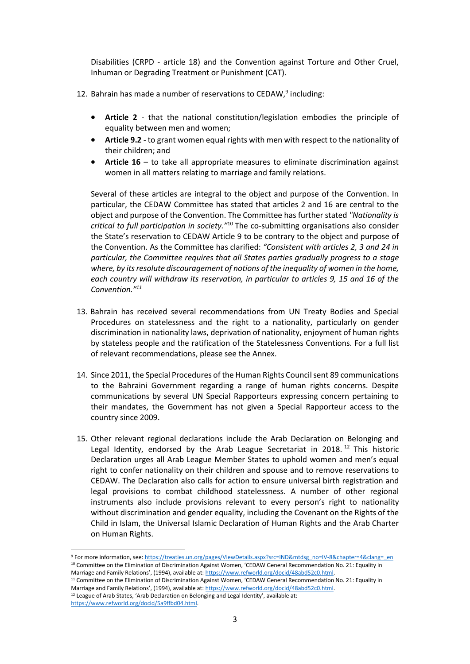Disabilities (CRPD - article 18) and the Convention against Torture and Other Cruel, Inhuman or Degrading Treatment or Punishment (CAT).

- 12. Bahrain has made a number of reservations to CEDAW,<sup>9</sup> including:
	- **Article 2** that the national constitution/legislation embodies the principle of equality between men and women;
	- **Article 9.2** to grant women equal rights with men with respect to the nationality of their children; and
	- **Article 16** to take all appropriate measures to eliminate discrimination against women in all matters relating to marriage and family relations.

Several of these articles are integral to the object and purpose of the Convention. In particular, the CEDAW Committee has stated that articles 2 and 16 are central to the object and purpose of the Convention. The Committee has further stated *"Nationality is critical to full participation in society."*<sup>10</sup> The co-submitting organisations also consider the State's reservation to CEDAW Article 9 to be contrary to the object and purpose of the Convention. As the Committee has clarified: *"Consistent with articles 2, 3 and 24 in particular, the Committee requires that all States parties gradually progress to a stage where, by its resolute discouragement of notions of the inequality of women in the home, each country will withdraw its reservation, in particular to articles 9, 15 and 16 of the Convention."<sup>11</sup>*

- 13. Bahrain has received several recommendations from UN Treaty Bodies and Special Procedures on statelessness and the right to a nationality, particularly on gender discrimination in nationality laws, deprivation of nationality, enjoyment of human rights by stateless people and the ratification of the Statelessness Conventions. For a full list of relevant recommendations, please see the Annex.
- 14. Since 2011, the Special Procedures of the Human Rights Council sent 89 communications to the Bahraini Government regarding a range of human rights concerns. Despite communications by several UN Special Rapporteurs expressing concern pertaining to their mandates, the Government has not given a Special Rapporteur access to the country since 2009.
- 15. Other relevant regional declarations include the Arab Declaration on Belonging and Legal Identity, endorsed by the Arab League Secretariat in 2018.<sup>12</sup> This historic Declaration urges all Arab League Member States to uphold women and men's equal right to confer nationality on their children and spouse and to remove reservations to CEDAW. The Declaration also calls for action to ensure universal birth registration and legal provisions to combat childhood statelessness. A number of other regional instruments also include provisions relevant to every person's right to nationality without discrimination and gender equality, including the Covenant on the Rights of the Child in Islam, the Universal Islamic Declaration of Human Rights and the Arab Charter on Human Rights.

<sup>9</sup> For more information, see[: https://treaties.un.org/pages/ViewDetails.aspx?src=IND&mtdsg\\_no=IV-8&chapter=4&clang=\\_en](https://treaties.un.org/pages/ViewDetails.aspx?src=IND&mtdsg_no=IV-8&chapter=4&clang=_en) <sup>10</sup> Committee on the Elimination of Discrimination Against Women, 'CEDAW General Recommendation No. 21: Equality in Marriage and Family Relations', (1994), available at: https://www.refworld.org/docid/48abd52c0.html.

<sup>&</sup>lt;sup>11</sup> Committee on the Elimination of Discrimination Against Women, 'CEDAW General Recommendation No. 21: Equality in Marriage and Family Relations', (1994), available at: [https://www.refworld.org/docid/48abd52c0.html.](https://www.refworld.org/docid/48abd52c0.html)  <sup>12</sup> League of Arab States, 'Arab Declaration on Belonging and Legal Identity', available at: [https://www.refworld.org/docid/5a9ffbd04.html.](https://www.refworld.org/docid/5a9ffbd04.html)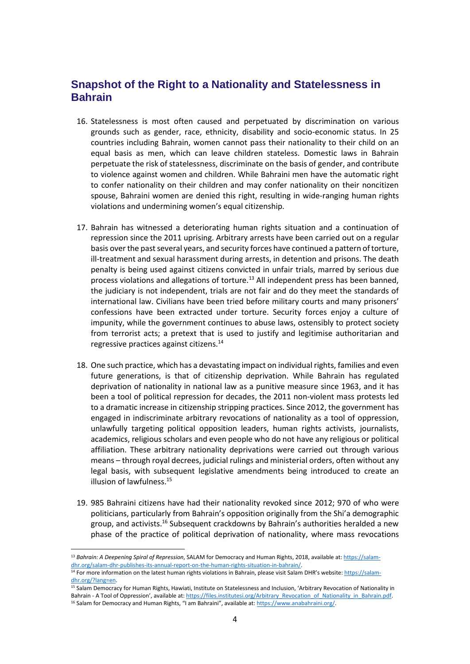# **Snapshot of the Right to a Nationality and Statelessness in Bahrain**

- 16. Statelessness is most often caused and perpetuated by discrimination on various grounds such as gender, race, ethnicity, disability and socio-economic status. In 25 countries including Bahrain, women cannot pass their nationality to their child on an equal basis as men, which can leave children stateless. Domestic laws in Bahrain perpetuate the risk of statelessness, discriminate on the basis of gender, and contribute to violence against women and children. While Bahraini men have the automatic right to confer nationality on their children and may confer nationality on their noncitizen spouse, Bahraini women are denied this right, resulting in wide-ranging human rights violations and undermining women's equal citizenship.
- 17. Bahrain has witnessed a deteriorating human rights situation and a continuation of repression since the 2011 uprising. Arbitrary arrests have been carried out on a regular basis over the past several years, and security forces have continued a pattern of torture, ill-treatment and sexual harassment during arrests, in detention and prisons. The death penalty is being used against citizens convicted in unfair trials, marred by serious due process violations and allegations of torture. $^{13}$  All independent press has been banned, the judiciary is not independent, trials are not fair and do they meet the standards of international law. Civilians have been tried before military courts and many prisoners' confessions have been extracted under torture. Security forces enjoy a culture of impunity, while the government continues to abuse laws, ostensibly to protect society from terrorist acts; a pretext that is used to justify and legitimise authoritarian and regressive practices against citizens.<sup>14</sup>
- 18. One such practice, which has a devastating impact on individual rights, families and even future generations, is that of citizenship deprivation. While Bahrain has regulated deprivation of nationality in national law as a punitive measure since 1963, and it has been a tool of political repression for decades, the 2011 non-violent mass protests led to a dramatic increase in citizenship stripping practices. Since 2012, the government has engaged in indiscriminate arbitrary revocations of nationality as a tool of oppression, unlawfully targeting political opposition leaders, human rights activists, journalists, academics, religious scholars and even people who do not have any religious or political affiliation. These arbitrary nationality deprivations were carried out through various means – through royal decrees, judicial rulings and ministerial orders, often without any legal basis, with subsequent legislative amendments being introduced to create an illusion of lawfulness.<sup>15</sup>
- 19. 985 Bahraini citizens have had their nationality revoked since 2012; 970 of who were politicians, particularly from Bahrain's opposition originally from the Shi'a demographic group, and activists.<sup>16</sup> Subsequent crackdowns by Bahrain's authorities heralded a new phase of the practice of political deprivation of nationality, where mass revocations

<sup>13</sup> *Bahrain: A Deepening Spiral of Repression*, SALAM for Democracy and Human Rights, 2018, available at[: https://salam](https://salam-dhr.org/salam-dhr-publishes-its-annual-report-on-the-human-rights-situation-in-bahrain/)[dhr.org/salam-dhr-publishes-its-annual-report-on-the-human-rights-situation-in-bahrain/.](https://salam-dhr.org/salam-dhr-publishes-its-annual-report-on-the-human-rights-situation-in-bahrain/)

<sup>&</sup>lt;sup>14</sup> For more information on the latest human rights violations in Bahrain, please visit Salam DHR's website[: https://salam](https://salam-dhr.org/?lang=en)[dhr.org/?lang=en.](https://salam-dhr.org/?lang=en) 

<sup>15</sup> Salam Democracy for Human Rights, Hawiati, Institute on Statelessness and Inclusion, 'Arbitrary Revocation of Nationality in Bahrain - A Tool of Oppression', available at: [https://files.institutesi.org/Arbitrary\\_Revocation\\_of\\_Nationality\\_in\\_Bahrain.pdf.](https://files.institutesi.org/Arbitrary_Revocation_of_Nationality_in_Bahrain.pdf) <sup>16</sup> Salam for Democracy and Human Rights, "I am Bahraini", available at: [https://www.anabahraini.org/.](https://www.anabahraini.org/)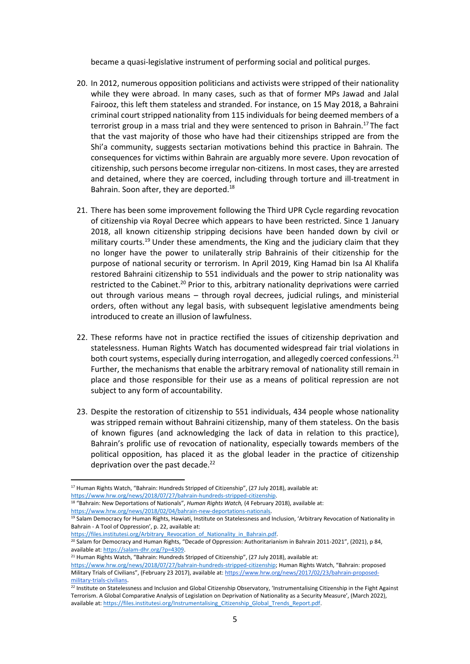became a quasi-legislative instrument of performing social and political purges.

- 20. In 2012, numerous opposition politicians and activists were stripped of their nationality while they were abroad. In many cases, such as that of former MPs Jawad and Jalal Fairooz, this left them stateless and stranded. For instance, on 15 May 2018, a Bahraini criminal court stripped nationality from 115 individuals for being deemed members of a terrorist group in a mass trial and they were sentenced to prison in Bahrain.<sup>17</sup> The fact that the vast majority of those who have had their citizenships stripped are from the Shi'a community, suggests sectarian motivations behind this practice in Bahrain. The consequences for victims within Bahrain are arguably more severe. Upon revocation of citizenship, such persons become irregular non-citizens. In most cases, they are arrested and detained, where they are coerced, including through torture and ill-treatment in Bahrain. Soon after, they are deported.<sup>18</sup>
- 21. There has been some improvement following the Third UPR Cycle regarding revocation of citizenship via Royal Decree which appears to have been restricted. Since 1 January 2018, all known citizenship stripping decisions have been handed down by civil or military courts.<sup>19</sup> Under these amendments, the King and the judiciary claim that they no longer have the power to unilaterally strip Bahrainis of their citizenship for the purpose of national security or terrorism. In April 2019, King Hamad bin Isa Al Khalifa restored Bahraini citizenship to 551 individuals and the power to strip nationality was restricted to the Cabinet.<sup>20</sup> Prior to this, arbitrary nationality deprivations were carried out through various means – through royal decrees, judicial rulings, and ministerial orders, often without any legal basis, with subsequent legislative amendments being introduced to create an illusion of lawfulness.
- 22. These reforms have not in practice rectified the issues of citizenship deprivation and statelessness. Human Rights Watch has documented widespread fair trial violations in both court systems, especially during interrogation, and allegedly coerced confessions.<sup>21</sup> Further, the mechanisms that enable the arbitrary removal of nationality still remain in place and those responsible for their use as a means of political repression are not subject to any form of accountability.
- 23. Despite the restoration of citizenship to 551 individuals, 434 people whose nationality was stripped remain without Bahraini citizenship, many of them stateless. On the basis of known figures (and acknowledging the lack of data in relation to this practice), Bahrain's prolific use of revocation of nationality, especially towards members of the political opposition, has placed it as the global leader in the practice of citizenship deprivation over the past decade.<sup>22</sup>

<sup>&</sup>lt;sup>17</sup> Human Rights Watch, "Bahrain: Hundreds Stripped of Citizenship", (27 July 2018), available at: [https://www.hrw.org/news/2018/07/27/bahrain-hundreds-stripped-citizenship.](https://www.hrw.org/news/2018/07/27/bahrain-hundreds-stripped-citizenship) 

<sup>18</sup> "Bahrain: New Deportations of Nationals", *Human Rights Watch,* (4 February 2018), available at:

[https://www.hrw.org/news/2018/02/04/bahrain-new-deportations-nationals.](https://www.hrw.org/news/2018/02/04/bahrain-new-deportations-nationals)

<sup>&</sup>lt;sup>19</sup> Salam Democracy for Human Rights, Hawiati, Institute on Statelessness and Inclusion, 'Arbitrary Revocation of Nationality in Bahrain - A Tool of Oppression', p. 22, available at:

https://files.institutesi.org/Arbitrary\_Revocation\_of\_Nationality\_in\_Bahrain.pdf.

<sup>&</sup>lt;sup>20</sup> Salam for Democracy and Human Rights, "Decade of Oppression: Authoritarianism in Bahrain 2011-2021", (2021), p 84, available at[: https://salam-dhr.org/?p=4309.](https://salam-dhr.org/?p=4309)

<sup>&</sup>lt;sup>21</sup> Human Rights Watch, "Bahrain: Hundreds Stripped of Citizenship", (27 July 2018), available at:

<https://www.hrw.org/news/2018/07/27/bahrain-hundreds-stripped-citizenship>; Human Rights Watch, "Bahrain: proposed Military Trials of Civilians", (February 23 2017), available at: [https://www.hrw.org/news/2017/02/23/bahrain-proposed](https://www.hrw.org/news/2017/02/23/bahrain-proposed-military-trials-civilians)[military-trials-civilians.](https://www.hrw.org/news/2017/02/23/bahrain-proposed-military-trials-civilians) 

<sup>&</sup>lt;sup>22</sup> Institute on Statelessness and Inclusion and Global Citizenship Observatory, 'Instrumentalising Citizenship in the Fight Against Terrorism. A Global Comparative Analysis of Legislation on Deprivation of Nationality as a Security Measure', (March 2022), available at: https://files.institutesi.org/Instrumentalising\_Citizenship\_Global\_Trends\_Report.pdf.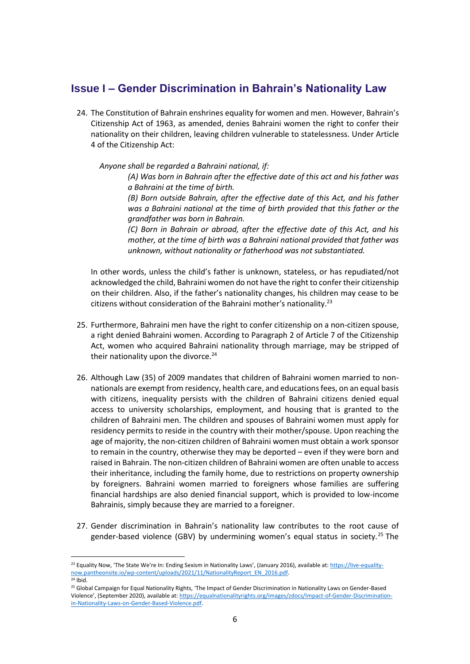# **Issue I – Gender Discrimination in Bahrain's Nationality Law**

24. The Constitution of Bahrain enshrines equality for women and men. However, Bahrain's Citizenship Act of 1963, as amended, denies Bahraini women the right to confer their nationality on their children, leaving children vulnerable to statelessness. Under Article 4 of the Citizenship Act:

*Anyone shall be regarded a Bahraini national, if:*

*(A) Was born in Bahrain after the effective date of this act and his father was a Bahraini at the time of birth.* 

*(B) Born outside Bahrain, after the effective date of this Act, and his father was a Bahraini national at the time of birth provided that this father or the grandfather was born in Bahrain.* 

*(C) Born in Bahrain or abroad, after the effective date of this Act, and his mother, at the time of birth was a Bahraini national provided that father was unknown, without nationality or fatherhood was not substantiated.* 

In other words, unless the child's father is unknown, stateless, or has repudiated/not acknowledged the child, Bahraini women do not have the right to confer their citizenship on their children. Also, if the father's nationality changes, his children may cease to be citizens without consideration of the Bahraini mother's nationality.<sup>23</sup>

- 25. Furthermore, Bahraini men have the right to confer citizenship on a non-citizen spouse, a right denied Bahraini women. According to Paragraph 2 of Article 7 of the Citizenship Act, women who acquired Bahraini nationality through marriage, may be stripped of their nationality upon the divorce. $24$
- 26. Although Law (35) of 2009 mandates that children of Bahraini women married to nonnationals are exempt from residency, health care, and educations fees, on an equal basis with citizens, inequality persists with the children of Bahraini citizens denied equal access to university scholarships, employment, and housing that is granted to the children of Bahraini men. The children and spouses of Bahraini women must apply for residency permits to reside in the country with their mother/spouse. Upon reaching the age of majority, the non-citizen children of Bahraini women must obtain a work sponsor to remain in the country, otherwise they may be deported – even if they were born and raised in Bahrain. The non-citizen children of Bahraini women are often unable to access their inheritance, including the family home, due to restrictions on property ownership by foreigners. Bahraini women married to foreigners whose families are suffering financial hardships are also denied financial support, which is provided to low-income Bahrainis, simply because they are married to a foreigner.
- 27. Gender discrimination in Bahrain's nationality law contributes to the root cause of gender-based violence (GBV) by undermining women's equal status in society.<sup>25</sup> The

<sup>&</sup>lt;sup>23</sup> Equality Now, 'The State We're In: Ending Sexism in Nationality Laws', (January 2016), available at: [https://live-equality](https://live-equality-now.pantheonsite.io/wp-content/uploads/2021/11/NationalityReport_EN_2016.pdf)now.pantheonsite.io/wp-content/uploads/2021/11/NationalityReport\_EN\_2016.pdf. <sup>24</sup> Ibid.

<sup>25</sup> Global Campaign for Equal Nationality Rights, 'The Impact of Gender Discrimination in Nationality Laws on Gender-Based Violence', (September 2020), available at: [https://equalnationalityrights.org/images/zdocs/Impact-of-Gender-Discrimination](https://equalnationalityrights.org/images/zdocs/Impact-of-Gender-Discrimination-in-Nationality-Laws-on-Gender-Based-Violence.pdf)[in-Nationality-Laws-on-Gender-Based-Violence.pdf.](https://equalnationalityrights.org/images/zdocs/Impact-of-Gender-Discrimination-in-Nationality-Laws-on-Gender-Based-Violence.pdf)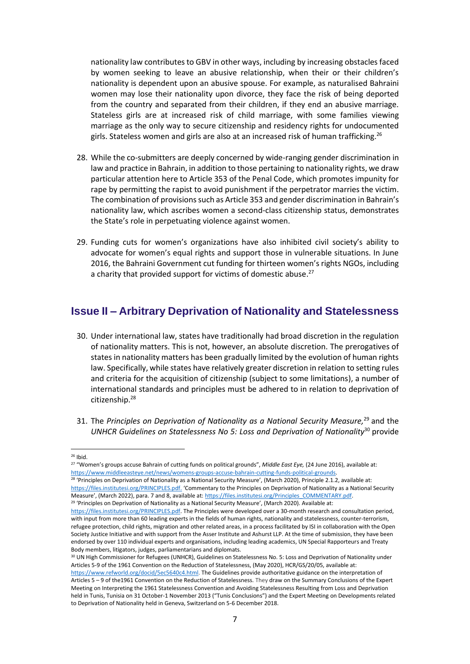nationality law contributes to GBV in other ways, including by increasing obstacles faced by women seeking to leave an abusive relationship, when their or their children's nationality is dependent upon an abusive spouse. For example, as naturalised Bahraini women may lose their nationality upon divorce, they face the risk of being deported from the country and separated from their children, if they end an abusive marriage. Stateless girls are at increased risk of child marriage, with some families viewing marriage as the only way to secure citizenship and residency rights for undocumented girls. Stateless women and girls are also at an increased risk of human trafficking.<sup>26</sup>

- 28. While the co-submitters are deeply concerned by wide-ranging gender discrimination in law and practice in Bahrain, in addition to those pertaining to nationality rights, we draw particular attention here to Article 353 of the Penal Code, which promotes impunity for rape by permitting the rapist to avoid punishment if the perpetrator marries the victim. The combination of provisions such as Article 353 and gender discrimination in Bahrain's nationality law, which ascribes women a second-class citizenship status, demonstrates the State's role in perpetuating violence against women.
- 29. Funding cuts for women's organizations have also inhibited civil society's ability to advocate for women's equal rights and support those in vulnerable situations. In June 2016, the Bahraini Government cut funding for thirteen women's rights NGOs, including a charity that provided support for victims of domestic abuse.<sup>27</sup>

### **Issue II – Arbitrary Deprivation of Nationality and Statelessness**

- 30. Under international law, states have traditionally had broad discretion in the regulation of nationality matters. This is not, however, an absolute discretion. The prerogatives of states in nationality matters has been gradually limited by the evolution of human rights law. Specifically, while states have relatively greater discretion in relation to setting rules and criteria for the acquisition of citizenship (subject to some limitations), a number of international standards and principles must be adhered to in relation to deprivation of citizenship.<sup>28</sup>
- 31. The *Principles on Deprivation of Nationality as a National Security Measure,*<sup>29</sup> and the *UNHCR Guidelines on Statelessness No 5: Loss and Deprivation of Nationality*<sup>30</sup> provide

<sup>28</sup> 'Principles on Deprivation of Nationality as a National Security Measure', (March 2020), Principle 2.1.2, available at: [https://files.institutesi.org/PRINCIPLES.pdf.](https://files.institutesi.org/PRINCIPLES.pdf) 'Commentary to the Principles on Deprivation of Nationality as a National Security Measure', (March 2022), para. 7 and 8, available at[: https://files.institutesi.org/Principles\\_COMMENTARY.pdf.](https://files.institutesi.org/Principles_COMMENTARY.pdf)  <sup>29</sup> 'Principles on Deprivation of Nationality as a National Security Measure', (March 2020). Available at:

 $26$  Ibid.

<sup>27</sup> "Women's groups accuse Bahrain of cutting funds on political grounds", *Middle East Eye,* (24 June 2016), available at: [https://www.middleeasteye.net/news/womens-groups-accuse-bahrain-cutting-funds-political-grounds.](https://www.middleeasteye.net/news/womens-groups-accuse-bahrain-cutting-funds-political-grounds)

[https://files.institutesi.org/PRINCIPLES.pdf.](https://files.institutesi.org/PRINCIPLES.pdf) The Principles were developed over a 30-month research and consultation period, with input from more than 60 leading experts in the fields of human rights, nationality and statelessness, counter-terrorism, refugee protection, child rights, migration and other related areas, in a process facilitated by ISI in collaboration with the Open Society Justice Initiative and with support from the Asser Institute and Ashurst LLP. At the time of submission, they have been endorsed by over 110 individual experts and organisations, including leading academics, UN Special Rapporteurs and Treaty Body members, litigators, judges, parliamentarians and diplomats.

<sup>&</sup>lt;sup>30</sup> UN High Commissioner for Refugees (UNHCR), Guidelines on Statelessness No. 5: Loss and Deprivation of Nationality under Articles 5-9 of the 1961 Convention on the Reduction of Statelessness, (May 2020), HCR/GS/20/05, available at:

[https://www.refworld.org/docid/5ec5640c4.html.](https://www.refworld.org/docid/5ec5640c4.html) The Guidelines provide authoritative guidance on the interpretation of Articles 5 – 9 of the1961 Convention on the Reduction of Statelessness. They draw on the Summary Conclusions of the Expert Meeting on Interpreting the 1961 Statelessness Convention and Avoiding Statelessness Resulting from Loss and Deprivation held in Tunis, Tunisia on 31 October-1 November 2013 ("Tunis Conclusions") and the Expert Meeting on Developments related to Deprivation of Nationality held in Geneva, Switzerland on 5-6 December 2018.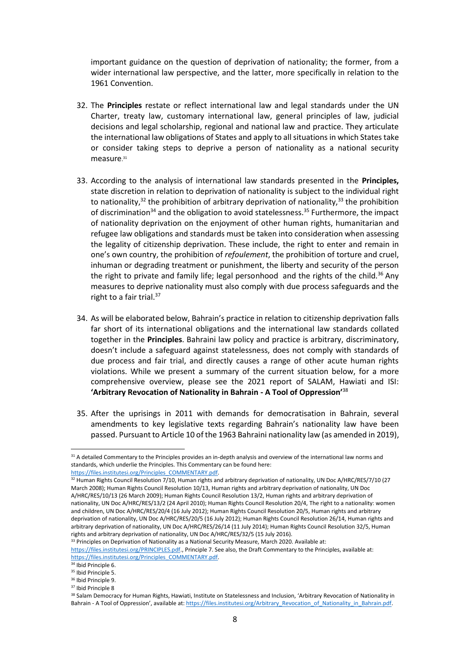important guidance on the question of deprivation of nationality; the former, from a wider international law perspective, and the latter, more specifically in relation to the 1961 Convention.

- 32. The **Principles** restate or reflect international law and legal standards under the UN Charter, treaty law, customary international law, general principles of law, judicial decisions and legal scholarship, regional and national law and practice. They articulate the international law obligations of States and apply to all situations in which States take or consider taking steps to deprive a person of nationality as a national security measure. 31
- 33. According to the analysis of international law standards presented in the **Principles,**  state discretion in relation to deprivation of nationality is subject to the individual right to nationality, $3^2$  the prohibition of arbitrary deprivation of nationality,  $3^3$  the prohibition of discrimination<sup>34</sup> and the obligation to avoid statelessness.<sup>35</sup> Furthermore, the impact of nationality deprivation on the enjoyment of other human rights, humanitarian and refugee law obligations and standards must be taken into consideration when assessing the legality of citizenship deprivation. These include, the right to enter and remain in one's own country, the prohibition of *refoulement*, the prohibition of torture and cruel, inhuman or degrading treatment or punishment, the liberty and security of the person the right to private and family life; legal personhood and the rights of the child.<sup>36</sup> Any measures to deprive nationality must also comply with due process safeguards and the right to a fair trial.<sup>37</sup>
- 34. As will be elaborated below, Bahrain's practice in relation to citizenship deprivation falls far short of its international obligations and the international law standards collated together in the **Principles**. Bahraini law policy and practice is arbitrary, discriminatory, doesn't include a safeguard against statelessness, does not comply with standards of due process and fair trial, and directly causes a range of other acute human rights violations. While we present a summary of the current situation below, for a more comprehensive overview, please see the 2021 report of SALAM, Hawiati and ISI: **'Arbitrary Revocation of Nationality in Bahrain - A Tool of Oppression'**<sup>38</sup>
- 35. After the uprisings in 2011 with demands for democratisation in Bahrain, several amendments to key legislative texts regarding Bahrain's nationality law have been passed. Pursuant to Article 10 of the 1963 Bahraini nationality law (as amended in 2019),

<sup>&</sup>lt;sup>31</sup> A detailed Commentary to the Principles provides an in-depth analysis and overview of the international law norms and standards, which underlie the Principles. This Commentary can be found here: [https://files.institutesi.org/Principles\\_COMMENTARY.pdf.](https://files.institutesi.org/Principles_COMMENTARY.pdf)

<sup>32</sup> Human Rights Council Resolution 7/10, Human rights and arbitrary deprivation of nationality, UN Doc A/HRC/RES/7/10 (27 March 2008); Human Rights Council Resolution 10/13, Human rights and arbitrary deprivation of nationality, UN Doc A/HRC/RES/10/13 (26 March 2009); Human Rights Council Resolution 13/2, Human rights and arbitrary deprivation of nationality, UN Doc A/HRC/RES/13/2 (24 April 2010); Human Rights Council Resolution 20/4, The right to a nationality: women and children, UN Doc A/HRC/RES/20/4 (16 July 2012); Human Rights Council Resolution 20/5, Human rights and arbitrary deprivation of nationality, UN Doc A/HRC/RES/20/5 (16 July 2012); Human Rights Council Resolution 26/14, Human rights and arbitrary deprivation of nationality, UN Doc A/HRC/RES/26/14 (11 July 2014); Human Rights Council Resolution 32/5, Human rights and arbitrary deprivation of nationality, UN Doc A/HRC/RES/32/5 (15 July 2016).

<sup>33</sup> Principles on Deprivation of Nationality as a National Security Measure, March 2020. Available at: [https://files.institutesi.org/PRINCIPLES.pdf.,](https://files.institutesi.org/PRINCIPLES.pdf) Principle 7. See also, the Draft Commentary to the Principles, available at: [https://files.institutesi.org/Principles\\_COMMENTARY.pdf.](https://files.institutesi.org/Principles_COMMENTARY.pdf)

<sup>&</sup>lt;sup>34</sup> Ibid Principle 6.

<sup>&</sup>lt;sup>35</sup> Ibid Principle 5. <sup>36</sup> Ibid Principle 9.

<sup>37</sup> Ibid Principle 8

<sup>&</sup>lt;sup>38</sup> Salam Democracy for Human Rights, Hawiati, Institute on Statelessness and Inclusion, 'Arbitrary Revocation of Nationality in Bahrain - A Tool of Oppression', available at: [https://files.institutesi.org/Arbitrary\\_Revocation\\_of\\_Nationality\\_in\\_Bahrain.pdf.](https://files.institutesi.org/Arbitrary_Revocation_of_Nationality_in_Bahrain.pdf)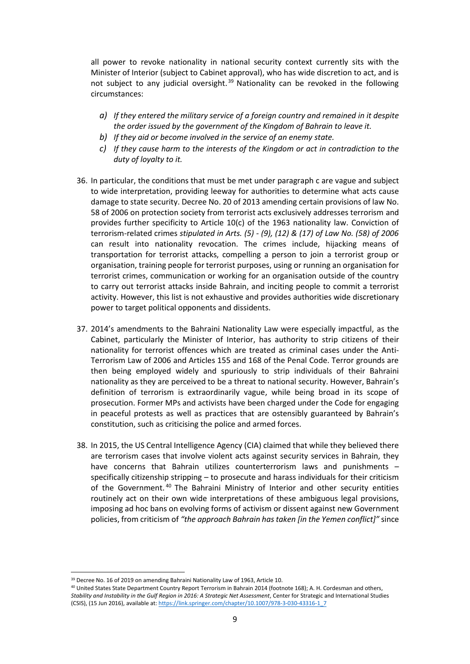all power to revoke nationality in national security context currently sits with the Minister of Interior (subject to Cabinet approval), who has wide discretion to act, and is not subject to any judicial oversight.<sup>39</sup> Nationality can be revoked in the following circumstances:

- *a) If they entered the military service of a foreign country and remained in it despite the order issued by the government of the Kingdom of Bahrain to leave it.*
- *b) If they aid or become involved in the service of an enemy state.*
- *c) If they cause harm to the interests of the Kingdom or act in contradiction to the duty of loyalty to it.*
- 36. In particular, the conditions that must be met under paragraph c are vague and subject to wide interpretation, providing leeway for authorities to determine what acts cause damage to state security. Decree No. 20 of 2013 amending certain provisions of law No. 58 of 2006 on protection society from terrorist acts exclusively addresses terrorism and provides further specificity to Article 10(c) of the 1963 nationality law. Conviction of terrorism-related crimes *stipulated in Arts. (5) - (9), (12) & (17) of Law No. (58) of 2006*  can result into nationality revocation. The crimes include, hijacking means of transportation for terrorist attacks, compelling a person to join a terrorist group or organisation, training people for terrorist purposes, using or running an organisation for terrorist crimes, communication or working for an organisation outside of the country to carry out terrorist attacks inside Bahrain, and inciting people to commit a terrorist activity. However, this list is not exhaustive and provides authorities wide discretionary power to target political opponents and dissidents.
- 37. 2014's amendments to the Bahraini Nationality Law were especially impactful, as the Cabinet, particularly the Minister of Interior, has authority to strip citizens of their nationality for terrorist offences which are treated as criminal cases under the Anti-Terrorism Law of 2006 and Articles 155 and 168 of the Penal Code. Terror grounds are then being employed widely and spuriously to strip individuals of their Bahraini nationality as they are perceived to be a threat to national security. However, Bahrain's definition of terrorism is extraordinarily vague, while being broad in its scope of prosecution. Former MPs and activists have been charged under the Code for engaging in peaceful protests as well as practices that are ostensibly guaranteed by Bahrain's constitution, such as criticising the police and armed forces.
- 38. In 2015, the US Central Intelligence Agency (CIA) claimed that while they believed there are terrorism cases that involve violent acts against security services in Bahrain, they have concerns that Bahrain utilizes counterterrorism laws and punishments – specifically citizenship stripping – to prosecute and harass individuals for their criticism of the Government. <sup>40</sup> The Bahraini Ministry of Interior and other security entities routinely act on their own wide interpretations of these ambiguous legal provisions, imposing ad hoc bans on evolving forms of activism or dissent against new Government policies, from criticism of *"the approach Bahrain has taken [in the Yemen conflict]"* since

<sup>&</sup>lt;sup>39</sup> Decree No. 16 of 2019 on amending Bahraini Nationality Law of 1963, Article 10.

<sup>40</sup> United States State Department Country Report Terrorism in Bahrain 2014 (footnote 168); A. H. Cordesman and others, *Stability and Instability in the Gulf Region in 2016: A Strategic Net Assessment*, Center for Strategic and International Studies (CSIS), (15 Jun 2016), available at: [https://link.springer.com/chapter/10.1007/978-3-030-43316-1\\_7](https://link.springer.com/chapter/10.1007/978-3-030-43316-1_7)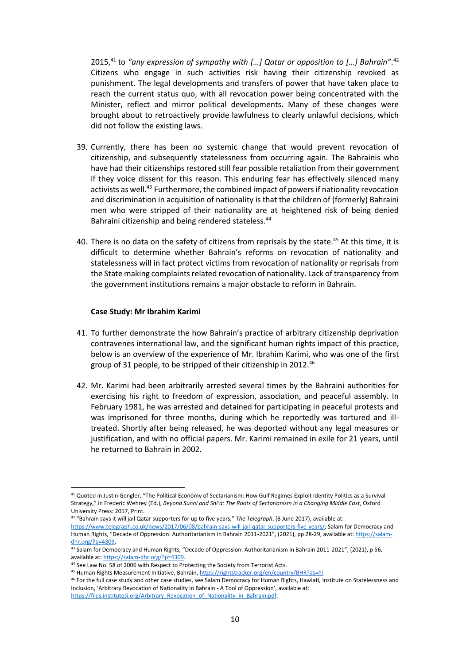2015,<sup>41</sup> to *"any expression of sympathy with […] Qatar or opposition to […] Bahrain"*. 42 Citizens who engage in such activities risk having their citizenship revoked as punishment. The legal developments and transfers of power that have taken place to reach the current status quo, with all revocation power being concentrated with the Minister, reflect and mirror political developments. Many of these changes were brought about to retroactively provide lawfulness to clearly unlawful decisions, which did not follow the existing laws.

- 39. Currently, there has been no systemic change that would prevent revocation of citizenship, and subsequently statelessness from occurring again. The Bahrainis who have had their citizenships restored still fear possible retaliation from their government if they voice dissent for this reason. This enduring fear has effectively silenced many activists as well.<sup>43</sup> Furthermore, the combined impact of powers if nationality revocation and discrimination in acquisition of nationality is that the children of (formerly) Bahraini men who were stripped of their nationality are at heightened risk of being denied Bahraini citizenship and being rendered stateless.<sup>44</sup>
- 40. There is no data on the safety of citizens from reprisals by the state.<sup>45</sup> At this time, it is difficult to determine whether Bahrain's reforms on revocation of nationality and statelessness will in fact protect victims from revocation of nationality or reprisals from the State making complaints related revocation of nationality. Lack of transparency from the government institutions remains a major obstacle to reform in Bahrain.

#### **Case Study: Mr Ibrahim Karimi**

- 41. To further demonstrate the how Bahrain's practice of arbitrary citizenship deprivation contravenes international law, and the significant human rights impact of this practice, below is an overview of the experience of Mr. Ibrahim Karimi, who was one of the first group of 31 people, to be stripped of their citizenship in 2012.<sup>46</sup>
- 42. Mr. Karimi had been arbitrarily arrested several times by the Bahraini authorities for exercising his right to freedom of expression, association, and peaceful assembly. In February 1981, he was arrested and detained for participating in peaceful protests and was imprisoned for three months, during which he reportedly was tortured and illtreated. Shortly after being released, he was deported without any legal measures or justification, and with no official papers. Mr. Karimi remained in exile for 21 years, until he returned to Bahrain in 2002.

<sup>41</sup> Quoted in Justin Gengler, "The Political Economy of Sectarianism: How Gulf Regimes Exploit Identity Politics as a Survival Strategy," in Frederic Wehrey (Ed.), *Beyond Sunni and Shi'a: The Roots of Sectarianism in a Changing Middle East*, Oxford University Press: 2017, Print.

<sup>42</sup> "Bahrain says it will jail Qatar supporters for up to five years," *The Telegraph*, (8 June 2017), available at: [https://www.telegraph.co.uk/news/2017/06/08/bahrain-says-will-jail-qatar-supporters-five-years/;](https://www.telegraph.co.uk/news/2017/06/08/bahrain-says-will-jail-qatar-supporters-five-years/) Salam for Democracy and Human Rights, "Decade of Oppression: Authoritarianism in Bahrain 2011-2021", (2021), pp 28-29, available at[: https://salam](https://salam-dhr.org/?p=4309)[dhr.org/?p=4309.](https://salam-dhr.org/?p=4309)

<sup>&</sup>lt;sup>43</sup> Salam for Democracy and Human Rights, "Decade of Oppression: Authoritarianism in Bahrain 2011-2021", (2021), p 56, available at[: https://salam-dhr.org/?p=4309.](https://salam-dhr.org/?p=4309)

<sup>44</sup> See Law No. 58 of 2006 with Respect to Protecting the Society from Terrorist Acts.

<sup>45</sup> Human Rights Measurement Initiative, Bahrain[, https://rightstracker.org/en/country/BHR?as=hi](https://rightstracker.org/en/country/BHR?as=hi)

<sup>&</sup>lt;sup>46</sup> For the full case study and other case studies, see Salam Democracy for Human Rights, Hawiati, Institute on Statelessness and Inclusion, 'Arbitrary Revocation of Nationality in Bahrain - A Tool of Oppression', available at: [https://files.institutesi.org/Arbitrary\\_Revocation\\_of\\_Nationality\\_in\\_Bahrain.pdf.](https://files.institutesi.org/Arbitrary_Revocation_of_Nationality_in_Bahrain.pdf)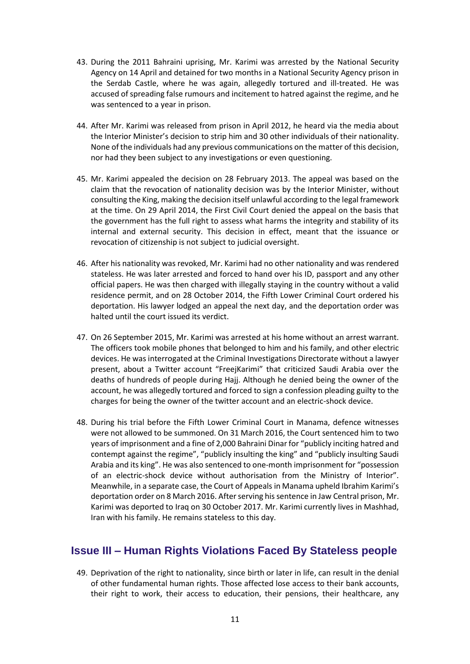- 43. During the 2011 Bahraini uprising, Mr. Karimi was arrested by the National Security Agency on 14 April and detained for two months in a National Security Agency prison in the Serdab Castle, where he was again, allegedly tortured and ill-treated. He was accused of spreading false rumours and incitement to hatred against the regime, and he was sentenced to a year in prison.
- 44. After Mr. Karimi was released from prison in April 2012, he heard via the media about the Interior Minister's decision to strip him and 30 other individuals of their nationality. None of the individuals had any previous communications on the matter of this decision, nor had they been subject to any investigations or even questioning.
- 45. Mr. Karimi appealed the decision on 28 February 2013. The appeal was based on the claim that the revocation of nationality decision was by the Interior Minister, without consulting the King, making the decision itself unlawful according to the legal framework at the time. On 29 April 2014, the First Civil Court denied the appeal on the basis that the government has the full right to assess what harms the integrity and stability of its internal and external security. This decision in effect, meant that the issuance or revocation of citizenship is not subject to judicial oversight.
- 46. After his nationality was revoked, Mr. Karimi had no other nationality and was rendered stateless. He was later arrested and forced to hand over his ID, passport and any other official papers. He was then charged with illegally staying in the country without a valid residence permit, and on 28 October 2014, the Fifth Lower Criminal Court ordered his deportation. His lawyer lodged an appeal the next day, and the deportation order was halted until the court issued its verdict.
- 47. On 26 September 2015, Mr. Karimi was arrested at his home without an arrest warrant. The officers took mobile phones that belonged to him and his family, and other electric devices. He was interrogated at the Criminal Investigations Directorate without a lawyer present, about a Twitter account "FreejKarimi" that criticized Saudi Arabia over the deaths of hundreds of people during Hajj. Although he denied being the owner of the account, he was allegedly tortured and forced to sign a confession pleading guilty to the charges for being the owner of the twitter account and an electric-shock device.
- 48. During his trial before the Fifth Lower Criminal Court in Manama, defence witnesses were not allowed to be summoned. On 31 March 2016, the Court sentenced him to two years of imprisonment and a fine of 2,000 Bahraini Dinar for "publicly inciting hatred and contempt against the regime", "publicly insulting the king" and "publicly insulting Saudi Arabia and its king". He was also sentenced to one-month imprisonment for "possession of an electric-shock device without authorisation from the Ministry of Interior". Meanwhile, in a separate case, the Court of Appeals in Manama upheld Ibrahim Karimi's deportation order on 8 March 2016. After serving his sentence in Jaw Central prison, Mr. Karimi was deported to Iraq on 30 October 2017. Mr. Karimi currently lives in Mashhad, Iran with his family. He remains stateless to this day.

# **Issue III – Human Rights Violations Faced By Stateless people**

49. Deprivation of the right to nationality, since birth or later in life, can result in the denial of other fundamental human rights. Those affected lose access to their bank accounts, their right to work, their access to education, their pensions, their healthcare, any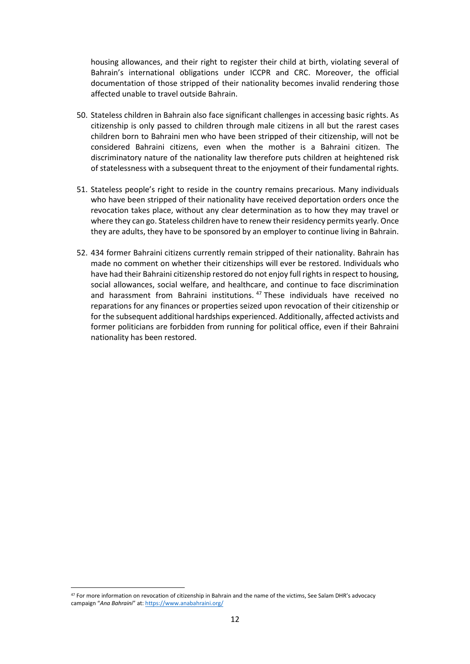housing allowances, and their right to register their child at birth, violating several of Bahrain's international obligations under ICCPR and CRC. Moreover, the official documentation of those stripped of their nationality becomes invalid rendering those affected unable to travel outside Bahrain.

- 50. Stateless children in Bahrain also face significant challenges in accessing basic rights. As citizenship is only passed to children through male citizens in all but the rarest cases children born to Bahraini men who have been stripped of their citizenship, will not be considered Bahraini citizens, even when the mother is a Bahraini citizen. The discriminatory nature of the nationality law therefore puts children at heightened risk of statelessness with a subsequent threat to the enjoyment of their fundamental rights.
- 51. Stateless people's right to reside in the country remains precarious. Many individuals who have been stripped of their nationality have received deportation orders once the revocation takes place, without any clear determination as to how they may travel or where they can go. Stateless children have to renew their residency permits yearly. Once they are adults, they have to be sponsored by an employer to continue living in Bahrain.
- 52. 434 former Bahraini citizens currently remain stripped of their nationality. Bahrain has made no comment on whether their citizenships will ever be restored. Individuals who have had their Bahraini citizenship restored do not enjoy full rights in respect to housing, social allowances, social welfare, and healthcare, and continue to face discrimination and harassment from Bahraini institutions. <sup>47</sup> These individuals have received no reparations for any finances or properties seized upon revocation of their citizenship or for the subsequent additional hardships experienced. Additionally, affected activists and former politicians are forbidden from running for political office, even if their Bahraini nationality has been restored.

<sup>&</sup>lt;sup>47</sup> For more information on revocation of citizenship in Bahrain and the name of the victims, See Salam DHR's advocacy campaign "*Ana Bahraini*" at: <https://www.anabahraini.org/>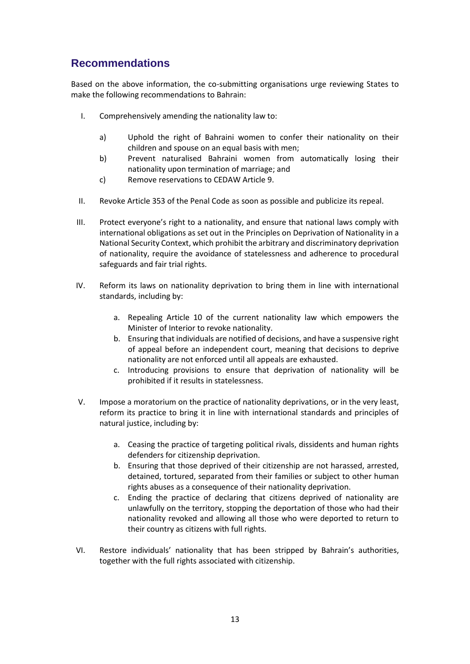# **Recommendations**

Based on the above information, the co-submitting organisations urge reviewing States to make the following recommendations to Bahrain:

- I. Comprehensively amending the nationality law to:
	- a) Uphold the right of Bahraini women to confer their nationality on their children and spouse on an equal basis with men;
	- b) Prevent naturalised Bahraini women from automatically losing their nationality upon termination of marriage; and
	- c) Remove reservations to CEDAW Article 9.
- II. Revoke Article 353 of the Penal Code as soon as possible and publicize its repeal.
- III. Protect everyone's right to a nationality, and ensure that national laws comply with international obligations as set out in the Principles on Deprivation of Nationality in a National Security Context, which prohibit the arbitrary and discriminatory deprivation of nationality, require the avoidance of statelessness and adherence to procedural safeguards and fair trial rights.
- IV. Reform its laws on nationality deprivation to bring them in line with international standards, including by:
	- a. Repealing Article 10 of the current nationality law which empowers the Minister of Interior to revoke nationality.
	- b. Ensuring that individuals are notified of decisions, and have a suspensive right of appeal before an independent court, meaning that decisions to deprive nationality are not enforced until all appeals are exhausted.
	- c. Introducing provisions to ensure that deprivation of nationality will be prohibited if it results in statelessness.
- V. Impose a moratorium on the practice of nationality deprivations, or in the very least, reform its practice to bring it in line with international standards and principles of natural justice, including by:
	- a. Ceasing the practice of targeting political rivals, dissidents and human rights defenders for citizenship deprivation.
	- b. Ensuring that those deprived of their citizenship are not harassed, arrested, detained, tortured, separated from their families or subject to other human rights abuses as a consequence of their nationality deprivation.
	- c. Ending the practice of declaring that citizens deprived of nationality are unlawfully on the territory, stopping the deportation of those who had their nationality revoked and allowing all those who were deported to return to their country as citizens with full rights.
- VI. Restore individuals' nationality that has been stripped by Bahrain's authorities, together with the full rights associated with citizenship.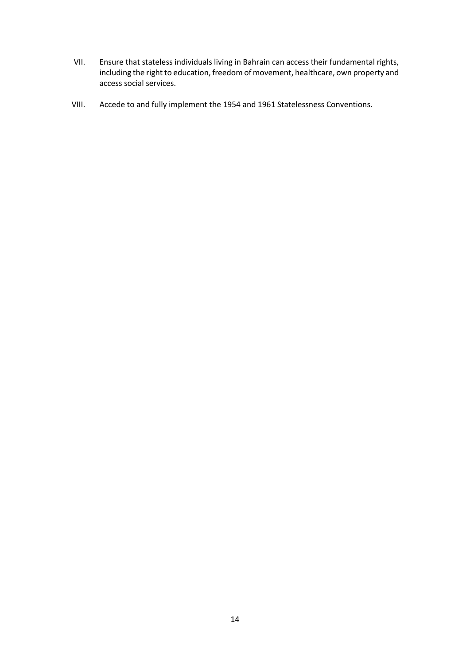- VII. Ensure that stateless individuals living in Bahrain can access their fundamental rights, including the right to education, freedom of movement, healthcare, own property and access social services.
- VIII. Accede to and fully implement the 1954 and 1961 Statelessness Conventions.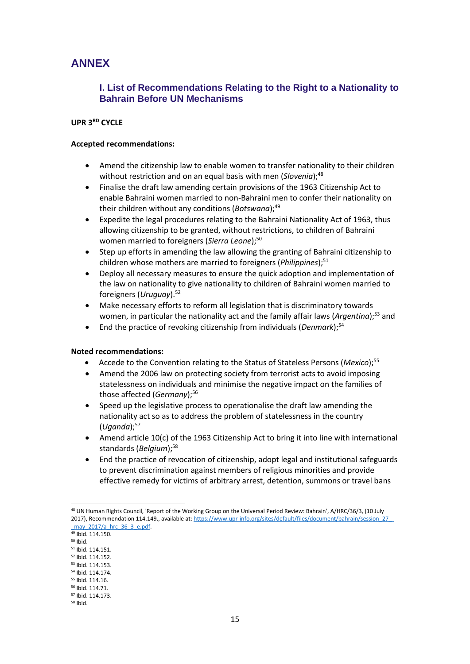# **ANNEX**

#### **I. List of Recommendations Relating to the Right to a Nationality to Bahrain Before UN Mechanisms**

#### **UPR 3RD CYCLE**

#### **Accepted recommendations:**

- Amend the citizenship law to enable women to transfer nationality to their children without restriction and on an equal basis with men (*Slovenia*);<sup>48</sup>
- Finalise the draft law amending certain provisions of the 1963 Citizenship Act to enable Bahraini women married to non-Bahraini men to confer their nationality on their children without any conditions (*Botswana*);<sup>49</sup>
- Expedite the legal procedures relating to the Bahraini Nationality Act of 1963, thus allowing citizenship to be granted, without restrictions, to children of Bahraini women married to foreigners (*Sierra Leone*);<sup>50</sup>
- Step up efforts in amending the law allowing the granting of Bahraini citizenship to children whose mothers are married to foreigners (*Philippines*);<sup>51</sup>
- Deploy all necessary measures to ensure the quick adoption and implementation of the law on nationality to give nationality to children of Bahraini women married to foreigners (*Uruguay*).<sup>52</sup>
- Make necessary efforts to reform all legislation that is discriminatory towards women, in particular the nationality act and the family affair laws (Argentina);<sup>53</sup> and
- End the practice of revoking citizenship from individuals (*Denmark*);<sup>54</sup>

#### **Noted recommendations:**

- Accede to the Convention relating to the Status of Stateless Persons (*Mexico*);<sup>55</sup>
- Amend the 2006 law on protecting society from terrorist acts to avoid imposing statelessness on individuals and minimise the negative impact on the families of those affected (*Germany*):<sup>56</sup>
- Speed up the legislative process to operationalise the draft law amending the nationality act so as to address the problem of statelessness in the country (*Uganda*);<sup>57</sup>
- Amend article 10(c) of the 1963 Citizenship Act to bring it into line with international standards (*Belgium*):<sup>58</sup>
- End the practice of revocation of citizenship, adopt legal and institutional safeguards to prevent discrimination against members of religious minorities and provide effective remedy for victims of arbitrary arrest, detention, summons or travel bans

<sup>48</sup> UN Human Rights Council, 'Report of the Working Group on the Universal Period Review: Bahrain', A/HRC/36/3, (10 July 2017), Recommendation 114.149., available at[: https://www.upr-info.org/sites/default/files/document/bahrain/session\\_27\\_-](https://www.upr-info.org/sites/default/files/document/bahrain/session_27_-_may_2017/a_hrc_36_3_e.pdf) [\\_may\\_2017/a\\_hrc\\_36\\_3\\_e.pdf.](https://www.upr-info.org/sites/default/files/document/bahrain/session_27_-_may_2017/a_hrc_36_3_e.pdf) 

<sup>49</sup> Ibid. 114.150.

<sup>50</sup> Ibid.

<sup>51</sup> Ibid. 114.151.

<sup>52</sup> Ibid. 114.152. <sup>53</sup> Ibid. 114.153.

<sup>54</sup> Ibid. 114.174.

<sup>55</sup> Ibid. 114.16.

<sup>56</sup> Ibid. 114.71.

<sup>57</sup> Ibid. 114.173.

<sup>58</sup> Ibid.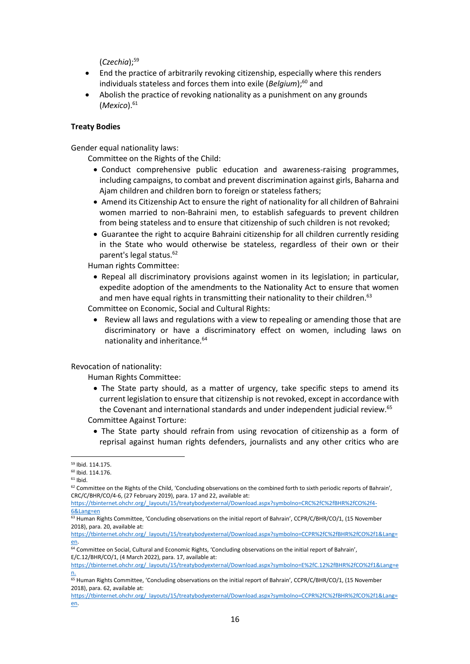(*Czechia*);<sup>59</sup>

- End the practice of arbitrarily revoking citizenship, especially where this renders individuals stateless and forces them into exile (*Belgium*):<sup>60</sup> and
- Abolish the practice of revoking nationality as a punishment on any grounds (*Mexico*).<sup>61</sup>

#### **Treaty Bodies**

Gender equal nationality laws:

Committee on the Rights of the Child:

- Conduct comprehensive public education and awareness-raising programmes, including campaigns, to combat and prevent discrimination against girls, Baharna and Ajam children and children born to foreign or stateless fathers;
- Amend its Citizenship Act to ensure the right of nationality for all children of Bahraini women married to non-Bahraini men, to establish safeguards to prevent children from being stateless and to ensure that citizenship of such children is not revoked;
- Guarantee the right to acquire Bahraini citizenship for all children currently residing in the State who would otherwise be stateless, regardless of their own or their parent's legal status.<sup>62</sup>

Human rights Committee:

• Repeal all discriminatory provisions against women in its legislation; in particular, expedite adoption of the amendments to the Nationality Act to ensure that women and men have equal rights in transmitting their nationality to their children.<sup>63</sup>

Committee on Economic, Social and Cultural Rights:

• Review all laws and regulations with a view to repealing or amending those that are discriminatory or have a discriminatory effect on women, including laws on nationality and inheritance.<sup>64</sup>

Revocation of nationality:

Human Rights Committee:

- The State party should, as a matter of urgency, take specific steps to amend its current legislation to ensure that citizenship is not revoked, except in accordance with the Covenant and international standards and under independent judicial review.<sup>65</sup> Committee Against Torture:
	- The State party should refrain from using revocation of citizenship as a form of reprisal against human rights defenders, journalists and any other critics who are

 $61$  Ibid.

[https://tbinternet.ohchr.org/\\_layouts/15/treatybodyexternal/Download.aspx?symbolno=CRC%2fC%2fBHR%2fCO%2f4-](https://tbinternet.ohchr.org/_layouts/15/treatybodyexternal/Download.aspx?symbolno=CRC%2fC%2fBHR%2fCO%2f4-6&Lang=en) [6&Lang=en](https://tbinternet.ohchr.org/_layouts/15/treatybodyexternal/Download.aspx?symbolno=CRC%2fC%2fBHR%2fCO%2f4-6&Lang=en)

<sup>59</sup> Ibid. 114.175.

<sup>60</sup> Ibid. 114.176.

<sup>&</sup>lt;sup>62</sup> Committee on the Rights of the Child, 'Concluding observations on the combined forth to sixth periodic reports of Bahrain', CRC/C/BHR/CO/4-6, (27 February 2019), para. 17 and 22, available at:

 $63$  Human Rights Committee, 'Concluding observations on the initial report of Bahrain', CCPR/C/BHR/CO/1, (15 November 2018), para. 20, available at:

[https://tbinternet.ohchr.org/\\_layouts/15/treatybodyexternal/Download.aspx?symbolno=CCPR%2fC%2fBHR%2fCO%2f1&Lang=](https://tbinternet.ohchr.org/_layouts/15/treatybodyexternal/Download.aspx?symbolno=CCPR%2fC%2fBHR%2fCO%2f1&Lang=en) [en.](https://tbinternet.ohchr.org/_layouts/15/treatybodyexternal/Download.aspx?symbolno=CCPR%2fC%2fBHR%2fCO%2f1&Lang=en)

<sup>&</sup>lt;sup>64</sup> Committee on Social, Cultural and Economic Rights, 'Concluding observations on the initial report of Bahrain', E/C.12/BHR/CO/1, (4 March 2022), para. 17, available at:

[https://tbinternet.ohchr.org/\\_layouts/15/treatybodyexternal/Download.aspx?symbolno=E%2fC.12%2fBHR%2fCO%2f1&Lang=e](https://tbinternet.ohchr.org/_layouts/15/treatybodyexternal/Download.aspx?symbolno=E%2fC.12%2fBHR%2fCO%2f1&Lang=en) [n.](https://tbinternet.ohchr.org/_layouts/15/treatybodyexternal/Download.aspx?symbolno=E%2fC.12%2fBHR%2fCO%2f1&Lang=en)

<sup>&</sup>lt;sup>65</sup> Human Rights Committee, 'Concluding observations on the initial report of Bahrain', CCPR/C/BHR/CO/1, (15 November 2018), para. 62, available at:

[https://tbinternet.ohchr.org/\\_layouts/15/treatybodyexternal/Download.aspx?symbolno=CCPR%2fC%2fBHR%2fCO%2f1&Lang=](https://tbinternet.ohchr.org/_layouts/15/treatybodyexternal/Download.aspx?symbolno=CCPR%2fC%2fBHR%2fCO%2f1&Lang=en) [en.](https://tbinternet.ohchr.org/_layouts/15/treatybodyexternal/Download.aspx?symbolno=CCPR%2fC%2fBHR%2fCO%2f1&Lang=en)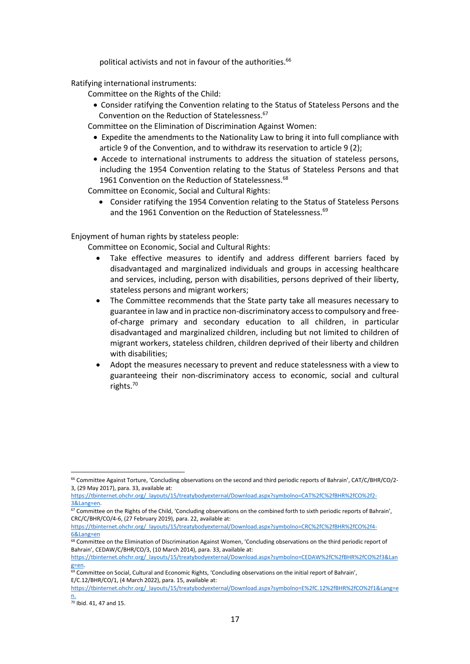political activists and not in favour of the authorities.<sup>66</sup>

Ratifying international instruments:

Committee on the Rights of the Child:

• Consider ratifying the Convention relating to the Status of Stateless Persons and the Convention on the Reduction of Statelessness.<sup>67</sup>

Committee on the Elimination of Discrimination Against Women:

- Expedite the amendments to the Nationality Law to bring it into full compliance with article 9 of the Convention, and to withdraw its reservation to article 9 (2);
- Accede to international instruments to address the situation of stateless persons, including the 1954 Convention relating to the Status of Stateless Persons and that 1961 Convention on the Reduction of Statelessness.<sup>68</sup>

Committee on Economic, Social and Cultural Rights:

• Consider ratifying the 1954 Convention relating to the Status of Stateless Persons and the 1961 Convention on the Reduction of Statelessness.<sup>69</sup>

Enjoyment of human rights by stateless people:

Committee on Economic, Social and Cultural Rights:

- Take effective measures to identify and address different barriers faced by disadvantaged and marginalized individuals and groups in accessing healthcare and services, including, person with disabilities, persons deprived of their liberty, stateless persons and migrant workers;
- The Committee recommends that the State party take all measures necessary to guarantee in law and in practice non-discriminatory access to compulsory and freeof-charge primary and secondary education to all children, in particular disadvantaged and marginalized children, including but not limited to children of migrant workers, stateless children, children deprived of their liberty and children with disabilities;
- Adopt the measures necessary to prevent and reduce statelessness with a view to guaranteeing their non-discriminatory access to economic, social and cultural rights.<sup>70</sup>

<sup>68</sup> Committee on the Elimination of Discrimination Against Women, 'Concluding observations on the third periodic report of Bahrain', CEDAW/C/BHR/CO/3, (10 March 2014), para. 33, available at:

<sup>66</sup> Committee Against Torture, 'Concluding observations on the second and third periodic reports of Bahrain', CAT/C/BHR/CO/2- 3, (29 May 2017), para. 33, available at:

[https://tbinternet.ohchr.org/\\_layouts/15/treatybodyexternal/Download.aspx?symbolno=CAT%2fC%2fBHR%2fCO%2f2-](https://tbinternet.ohchr.org/_layouts/15/treatybodyexternal/Download.aspx?symbolno=CAT%2fC%2fBHR%2fCO%2f2-3&Lang=en) [3&Lang=en.](https://tbinternet.ohchr.org/_layouts/15/treatybodyexternal/Download.aspx?symbolno=CAT%2fC%2fBHR%2fCO%2f2-3&Lang=en)

<sup>&</sup>lt;sup>67</sup> Committee on the Rights of the Child, 'Concluding observations on the combined forth to sixth periodic reports of Bahrain', CRC/C/BHR/CO/4-6, (27 February 2019), para. 22, available at:

[https://tbinternet.ohchr.org/\\_layouts/15/treatybodyexternal/Download.aspx?symbolno=CRC%2fC%2fBHR%2fCO%2f4-](https://tbinternet.ohchr.org/_layouts/15/treatybodyexternal/Download.aspx?symbolno=CRC%2fC%2fBHR%2fCO%2f4-6&Lang=en) [6&Lang=en](https://tbinternet.ohchr.org/_layouts/15/treatybodyexternal/Download.aspx?symbolno=CRC%2fC%2fBHR%2fCO%2f4-6&Lang=en)

[https://tbinternet.ohchr.org/\\_layouts/15/treatybodyexternal/Download.aspx?symbolno=CEDAW%2fC%2fBHR%2fCO%2f3&Lan](https://tbinternet.ohchr.org/_layouts/15/treatybodyexternal/Download.aspx?symbolno=CEDAW%2fC%2fBHR%2fCO%2f3&Lang=en) [g=en.](https://tbinternet.ohchr.org/_layouts/15/treatybodyexternal/Download.aspx?symbolno=CEDAW%2fC%2fBHR%2fCO%2f3&Lang=en)

<sup>&</sup>lt;sup>69</sup> Committee on Social, Cultural and Economic Rights, 'Concluding observations on the initial report of Bahrain', E/C.12/BHR/CO/1, (4 March 2022), para. 15, available at:

[https://tbinternet.ohchr.org/\\_layouts/15/treatybodyexternal/Download.aspx?symbolno=E%2fC.12%2fBHR%2fCO%2f1&Lang=e](https://tbinternet.ohchr.org/_layouts/15/treatybodyexternal/Download.aspx?symbolno=E%2fC.12%2fBHR%2fCO%2f1&Lang=en) [n.](https://tbinternet.ohchr.org/_layouts/15/treatybodyexternal/Download.aspx?symbolno=E%2fC.12%2fBHR%2fCO%2f1&Lang=en)

<sup>70</sup> Ibid. 41, 47 and 15.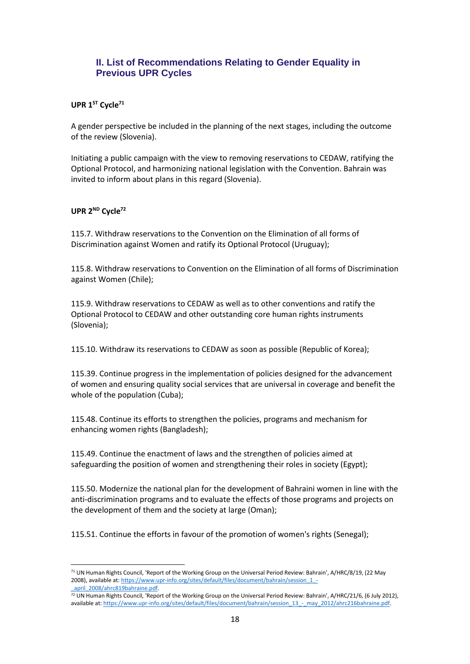### **II. List of Recommendations Relating to Gender Equality in Previous UPR Cycles**

#### **UPR 1 ST Cycle<sup>71</sup>**

A gender perspective be included in the planning of the next stages, including the outcome of the review (Slovenia).

Initiating a public campaign with the view to removing reservations to CEDAW, ratifying the Optional Protocol, and harmonizing national legislation with the Convention. Bahrain was invited to inform about plans in this regard (Slovenia).

#### UPR 2<sup>ND</sup> Cycle<sup>72</sup>

115.7. Withdraw reservations to the Convention on the Elimination of all forms of Discrimination against Women and ratify its Optional Protocol (Uruguay);

115.8. Withdraw reservations to Convention on the Elimination of all forms of Discrimination against Women (Chile);

115.9. Withdraw reservations to CEDAW as well as to other conventions and ratify the Optional Protocol to CEDAW and other outstanding core human rights instruments (Slovenia);

115.10. Withdraw its reservations to CEDAW as soon as possible (Republic of Korea);

115.39. Continue progress in the implementation of policies designed for the advancement of women and ensuring quality social services that are universal in coverage and benefit the whole of the population (Cuba);

115.48. Continue its efforts to strengthen the policies, programs and mechanism for enhancing women rights (Bangladesh);

115.49. Continue the enactment of laws and the strengthen of policies aimed at safeguarding the position of women and strengthening their roles in society (Egypt);

115.50. Modernize the national plan for the development of Bahraini women in line with the anti-discrimination programs and to evaluate the effects of those programs and projects on the development of them and the society at large (Oman);

115.51. Continue the efforts in favour of the promotion of women's rights (Senegal);

<sup>71</sup> UN Human Rights Council, 'Report of the Working Group on the Universal Period Review: Bahrain', A/HRC/8/19, (22 May 2008), available at[: https://www.upr-info.org/sites/default/files/document/bahrain/session\\_1\\_-](https://www.upr-info.org/sites/default/files/document/bahrain/session_1_-_april_2008/ahrc819bahraine.pdf) [\\_april\\_2008/ahrc819bahraine.pdf.](https://www.upr-info.org/sites/default/files/document/bahrain/session_1_-_april_2008/ahrc819bahraine.pdf)

 $\frac{1}{2}$  UN Human Rights Council, 'Report of the Working Group on the Universal Period Review: Bahrain', A/HRC/21/6, (6 July 2012), available at[: https://www.upr-info.org/sites/default/files/document/bahrain/session\\_13\\_-\\_may\\_2012/ahrc216bahraine.pdf.](https://www.upr-info.org/sites/default/files/document/bahrain/session_13_-_may_2012/ahrc216bahraine.pdf)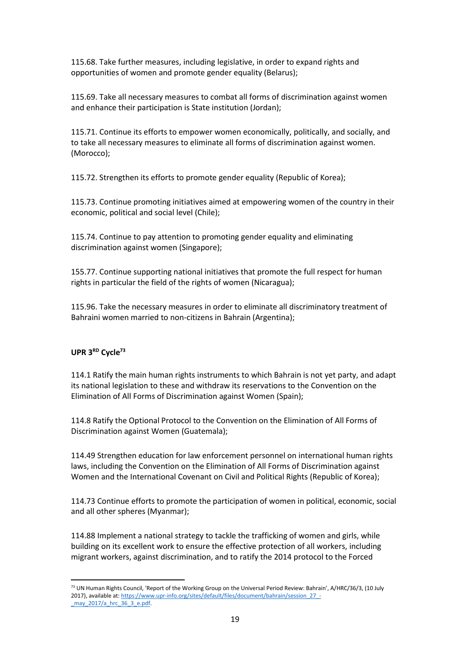115.68. Take further measures, including legislative, in order to expand rights and opportunities of women and promote gender equality (Belarus);

115.69. Take all necessary measures to combat all forms of discrimination against women and enhance their participation is State institution (Jordan);

115.71. Continue its efforts to empower women economically, politically, and socially, and to take all necessary measures to eliminate all forms of discrimination against women. (Morocco);

115.72. Strengthen its efforts to promote gender equality (Republic of Korea);

115.73. Continue promoting initiatives aimed at empowering women of the country in their economic, political and social level (Chile);

115.74. Continue to pay attention to promoting gender equality and eliminating discrimination against women (Singapore);

155.77. Continue supporting national initiatives that promote the full respect for human rights in particular the field of the rights of women (Nicaragua);

115.96. Take the necessary measures in order to eliminate all discriminatory treatment of Bahraini women married to non-citizens in Bahrain (Argentina);

#### **UPR 3 RD Cycle<sup>73</sup>**

114.1 Ratify the main human rights instruments to which Bahrain is not yet party, and adapt its national legislation to these and withdraw its reservations to the Convention on the Elimination of All Forms of Discrimination against Women (Spain);

114.8 Ratify the Optional Protocol to the Convention on the Elimination of All Forms of Discrimination against Women (Guatemala);

114.49 Strengthen education for law enforcement personnel on international human rights laws, including the Convention on the Elimination of All Forms of Discrimination against Women and the International Covenant on Civil and Political Rights (Republic of Korea);

114.73 Continue efforts to promote the participation of women in political, economic, social and all other spheres (Myanmar);

114.88 Implement a national strategy to tackle the trafficking of women and girls, while building on its excellent work to ensure the effective protection of all workers, including migrant workers, against discrimination, and to ratify the 2014 protocol to the Forced

<sup>73</sup> UN Human Rights Council, 'Report of the Working Group on the Universal Period Review: Bahrain', A/HRC/36/3, (10 July 2017), available at[: https://www.upr-info.org/sites/default/files/document/bahrain/session\\_27\\_-](https://www.upr-info.org/sites/default/files/document/bahrain/session_27_-_may_2017/a_hrc_36_3_e.pdf) [\\_may\\_2017/a\\_hrc\\_36\\_3\\_e.pdf.](https://www.upr-info.org/sites/default/files/document/bahrain/session_27_-_may_2017/a_hrc_36_3_e.pdf)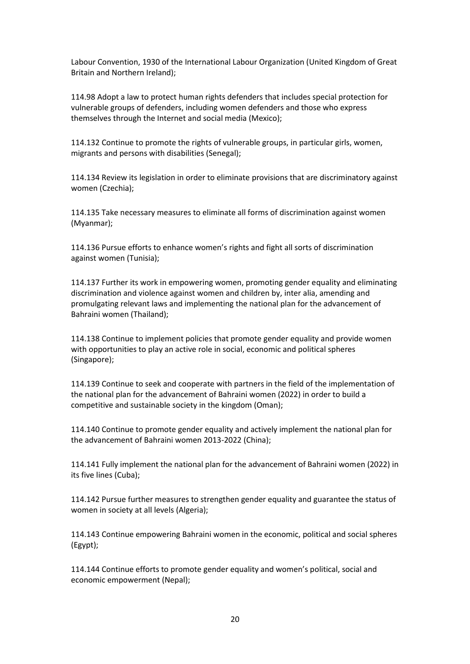Labour Convention, 1930 of the International Labour Organization (United Kingdom of Great Britain and Northern Ireland);

114.98 Adopt a law to protect human rights defenders that includes special protection for vulnerable groups of defenders, including women defenders and those who express themselves through the Internet and social media (Mexico);

114.132 Continue to promote the rights of vulnerable groups, in particular girls, women, migrants and persons with disabilities (Senegal);

114.134 Review its legislation in order to eliminate provisions that are discriminatory against women (Czechia);

114.135 Take necessary measures to eliminate all forms of discrimination against women (Myanmar);

114.136 Pursue efforts to enhance women's rights and fight all sorts of discrimination against women (Tunisia);

114.137 Further its work in empowering women, promoting gender equality and eliminating discrimination and violence against women and children by, inter alia, amending and promulgating relevant laws and implementing the national plan for the advancement of Bahraini women (Thailand);

114.138 Continue to implement policies that promote gender equality and provide women with opportunities to play an active role in social, economic and political spheres (Singapore);

114.139 Continue to seek and cooperate with partners in the field of the implementation of the national plan for the advancement of Bahraini women (2022) in order to build a competitive and sustainable society in the kingdom (Oman);

114.140 Continue to promote gender equality and actively implement the national plan for the advancement of Bahraini women 2013-2022 (China);

114.141 Fully implement the national plan for the advancement of Bahraini women (2022) in its five lines (Cuba);

114.142 Pursue further measures to strengthen gender equality and guarantee the status of women in society at all levels (Algeria);

114.143 Continue empowering Bahraini women in the economic, political and social spheres (Egypt);

114.144 Continue efforts to promote gender equality and women's political, social and economic empowerment (Nepal);